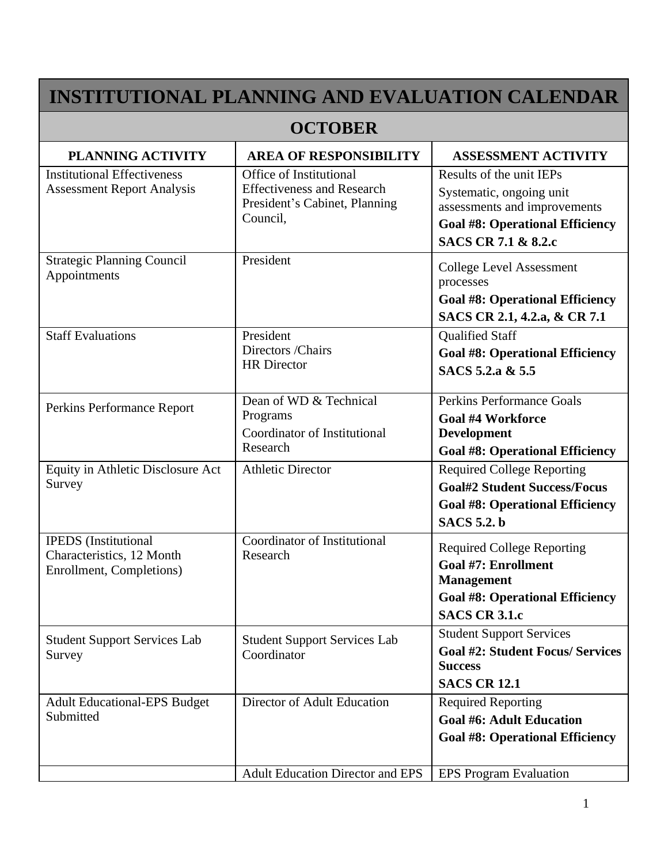## **INSTITUTIONAL PLANNING AND EVALUATION CALENDAR**

## **OCTOBER**

| <b>PLANNING ACTIVITY</b>                                                             | <b>AREA OF RESPONSIBILITY</b>                                                                             | <b>ASSESSMENT ACTIVITY</b>                                                                                                                                       |
|--------------------------------------------------------------------------------------|-----------------------------------------------------------------------------------------------------------|------------------------------------------------------------------------------------------------------------------------------------------------------------------|
| <b>Institutional Effectiveness</b><br><b>Assessment Report Analysis</b>              | Office of Institutional<br><b>Effectiveness and Research</b><br>President's Cabinet, Planning<br>Council. | Results of the unit IEPs<br>Systematic, ongoing unit<br>assessments and improvements<br><b>Goal #8: Operational Efficiency</b><br><b>SACS CR 7.1 &amp; 8.2.c</b> |
| <b>Strategic Planning Council</b><br>Appointments                                    | President                                                                                                 | <b>College Level Assessment</b><br>processes<br><b>Goal #8: Operational Efficiency</b><br>SACS CR 2.1, 4.2.a, & CR 7.1                                           |
| <b>Staff Evaluations</b>                                                             | President<br>Directors / Chairs<br><b>HR</b> Director                                                     | <b>Qualified Staff</b><br><b>Goal #8: Operational Efficiency</b><br>SACS 5.2.a & 5.5                                                                             |
| Perkins Performance Report                                                           | Dean of WD & Technical<br>Programs<br>Coordinator of Institutional<br>Research                            | Perkins Performance Goals<br><b>Goal #4 Workforce</b><br><b>Development</b><br><b>Goal #8: Operational Efficiency</b>                                            |
| Equity in Athletic Disclosure Act<br>Survey                                          | <b>Athletic Director</b>                                                                                  | <b>Required College Reporting</b><br><b>Goal#2 Student Success/Focus</b><br><b>Goal #8: Operational Efficiency</b><br><b>SACS</b> 5.2. b                         |
| <b>IPEDS</b> (Institutional<br>Characteristics, 12 Month<br>Enrollment, Completions) | Coordinator of Institutional<br>Research                                                                  | <b>Required College Reporting</b><br><b>Goal #7: Enrollment</b><br><b>Management</b><br><b>Goal #8: Operational Efficiency</b><br><b>SACS CR 3.1.c</b>           |
| <b>Student Support Services Lab</b><br>Survey                                        | <b>Student Support Services Lab</b><br>Coordinator                                                        | <b>Student Support Services</b><br><b>Goal #2: Student Focus/ Services</b><br><b>Success</b><br><b>SACS CR 12.1</b>                                              |
| <b>Adult Educational-EPS Budget</b><br>Submitted                                     | Director of Adult Education                                                                               | <b>Required Reporting</b><br><b>Goal #6: Adult Education</b><br><b>Goal #8: Operational Efficiency</b>                                                           |
|                                                                                      | <b>Adult Education Director and EPS</b>                                                                   | <b>EPS Program Evaluation</b>                                                                                                                                    |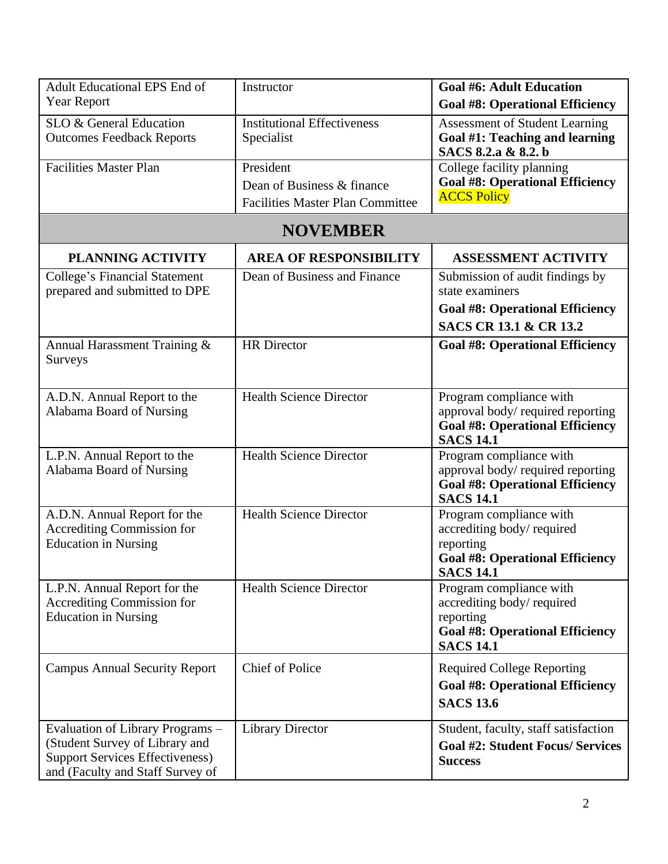| <b>Adult Educational EPS End of</b><br><b>Year Report</b>                                                                                        | Instructor                                                                         | <b>Goal #6: Adult Education</b>                                                                                                          |
|--------------------------------------------------------------------------------------------------------------------------------------------------|------------------------------------------------------------------------------------|------------------------------------------------------------------------------------------------------------------------------------------|
| SLO & General Education<br><b>Outcomes Feedback Reports</b>                                                                                      | <b>Institutional Effectiveness</b><br>Specialist                                   | <b>Goal #8: Operational Efficiency</b><br><b>Assessment of Student Learning</b><br>Goal #1: Teaching and learning<br>SACS 8.2.a & 8.2. b |
| <b>Facilities Master Plan</b>                                                                                                                    | President<br>Dean of Business & finance<br><b>Facilities Master Plan Committee</b> | College facility planning<br><b>Goal #8: Operational Efficiency</b><br><b>ACCS Policy</b>                                                |
|                                                                                                                                                  | <b>NOVEMBER</b>                                                                    |                                                                                                                                          |
| <b>PLANNING ACTIVITY</b>                                                                                                                         | <b>AREA OF RESPONSIBILITY</b>                                                      | <b>ASSESSMENT ACTIVITY</b>                                                                                                               |
| <b>College's Financial Statement</b><br>prepared and submitted to DPE                                                                            | Dean of Business and Finance                                                       | Submission of audit findings by<br>state examiners<br><b>Goal #8: Operational Efficiency</b><br><b>SACS CR 13.1 &amp; CR 13.2</b>        |
| Annual Harassment Training &<br>Surveys                                                                                                          | <b>HR</b> Director                                                                 | <b>Goal #8: Operational Efficiency</b>                                                                                                   |
| A.D.N. Annual Report to the<br>Alabama Board of Nursing                                                                                          | <b>Health Science Director</b>                                                     | Program compliance with<br>approval body/required reporting<br><b>Goal #8: Operational Efficiency</b><br><b>SACS 14.1</b>                |
| L.P.N. Annual Report to the<br>Alabama Board of Nursing                                                                                          | <b>Health Science Director</b>                                                     | Program compliance with<br>approval body/required reporting<br><b>Goal #8: Operational Efficiency</b><br><b>SACS 14.1</b>                |
| A.D.N. Annual Report for the<br><b>Accrediting Commission for</b><br><b>Education in Nursing</b>                                                 | <b>Health Science Director</b>                                                     | Program compliance with<br>accrediting body/required<br>reporting<br><b>Goal #8: Operational Efficiency</b><br><b>SACS 14.1</b>          |
| L.P.N. Annual Report for the<br>Accrediting Commission for<br><b>Education in Nursing</b>                                                        | <b>Health Science Director</b>                                                     | Program compliance with<br>accrediting body/required<br>reporting<br><b>Goal #8: Operational Efficiency</b><br><b>SACS 14.1</b>          |
| <b>Campus Annual Security Report</b>                                                                                                             | <b>Chief of Police</b>                                                             | <b>Required College Reporting</b><br><b>Goal #8: Operational Efficiency</b><br><b>SACS 13.6</b>                                          |
| Evaluation of Library Programs -<br>(Student Survey of Library and<br><b>Support Services Effectiveness)</b><br>and (Faculty and Staff Survey of | <b>Library Director</b>                                                            | Student, faculty, staff satisfaction<br><b>Goal #2: Student Focus/ Services</b><br><b>Success</b>                                        |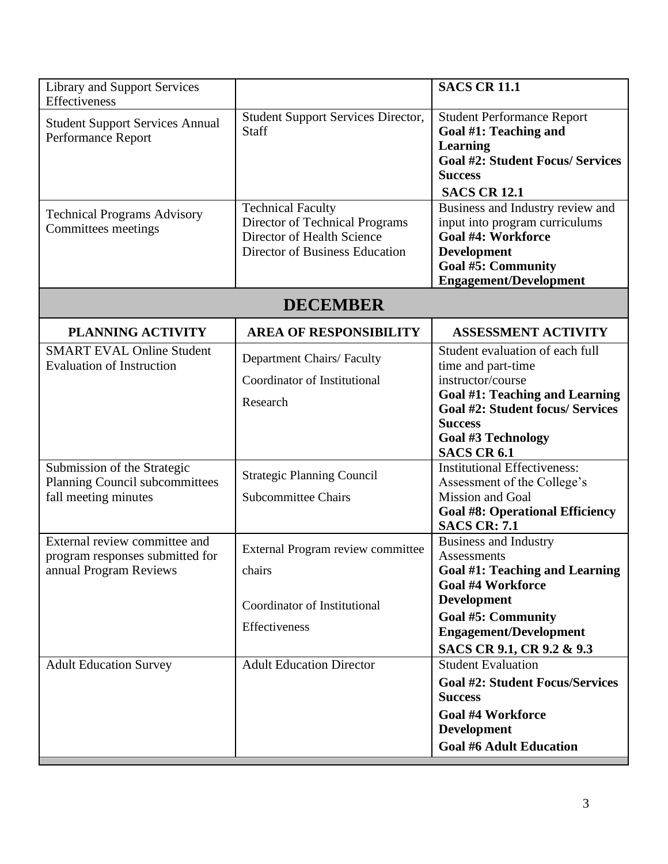| <b>Library and Support Services</b><br>Effectiveness                                       |                                                                                                                            | <b>SACS CR 11.1</b>                                                                                                                                                                                                          |
|--------------------------------------------------------------------------------------------|----------------------------------------------------------------------------------------------------------------------------|------------------------------------------------------------------------------------------------------------------------------------------------------------------------------------------------------------------------------|
| <b>Student Support Services Annual</b><br>Performance Report                               | <b>Student Support Services Director,</b><br><b>Staff</b>                                                                  | <b>Student Performance Report</b><br>Goal #1: Teaching and<br>Learning<br><b>Goal #2: Student Focus/ Services</b><br><b>Success</b><br><b>SACS CR 12.1</b>                                                                   |
| <b>Technical Programs Advisory</b><br>Committees meetings                                  | <b>Technical Faculty</b><br>Director of Technical Programs<br>Director of Health Science<br>Director of Business Education | Business and Industry review and<br>input into program curriculums<br><b>Goal #4: Workforce</b><br><b>Development</b><br><b>Goal #5: Community</b><br><b>Engagement/Development</b>                                          |
|                                                                                            | <b>DECEMBER</b>                                                                                                            |                                                                                                                                                                                                                              |
| <b>PLANNING ACTIVITY</b>                                                                   | <b>AREA OF RESPONSIBILITY</b>                                                                                              | <b>ASSESSMENT ACTIVITY</b>                                                                                                                                                                                                   |
| <b>SMART EVAL Online Student</b><br><b>Evaluation of Instruction</b>                       | <b>Department Chairs/ Faculty</b><br>Coordinator of Institutional<br>Research                                              | Student evaluation of each full<br>time and part-time<br>instructor/course<br>Goal #1: Teaching and Learning<br><b>Goal #2: Student focus/ Services</b><br><b>Success</b><br><b>Goal #3 Technology</b><br><b>SACS CR 6.1</b> |
| Submission of the Strategic<br>Planning Council subcommittees<br>fall meeting minutes      | <b>Strategic Planning Council</b><br><b>Subcommittee Chairs</b>                                                            | <b>Institutional Effectiveness:</b><br>Assessment of the College's<br>Mission and Goal<br><b>Goal #8: Operational Efficiency</b><br><b>SACS CR: 7.1</b>                                                                      |
| External review committee and<br>program responses submitted for<br>annual Program Reviews | External Program review committee<br>chairs<br>Coordinator of Institutional<br>Effectiveness                               | <b>Business and Industry</b><br>Assessments<br>Goal #1: Teaching and Learning<br><b>Goal #4 Workforce</b><br><b>Development</b><br><b>Goal #5: Community</b><br><b>Engagement/Development</b><br>SACS CR 9.1, CR 9.2 & 9.3   |
| <b>Adult Education Survey</b>                                                              | <b>Adult Education Director</b>                                                                                            | <b>Student Evaluation</b><br><b>Goal #2: Student Focus/Services</b><br><b>Success</b><br><b>Goal #4 Workforce</b><br><b>Development</b><br><b>Goal #6 Adult Education</b>                                                    |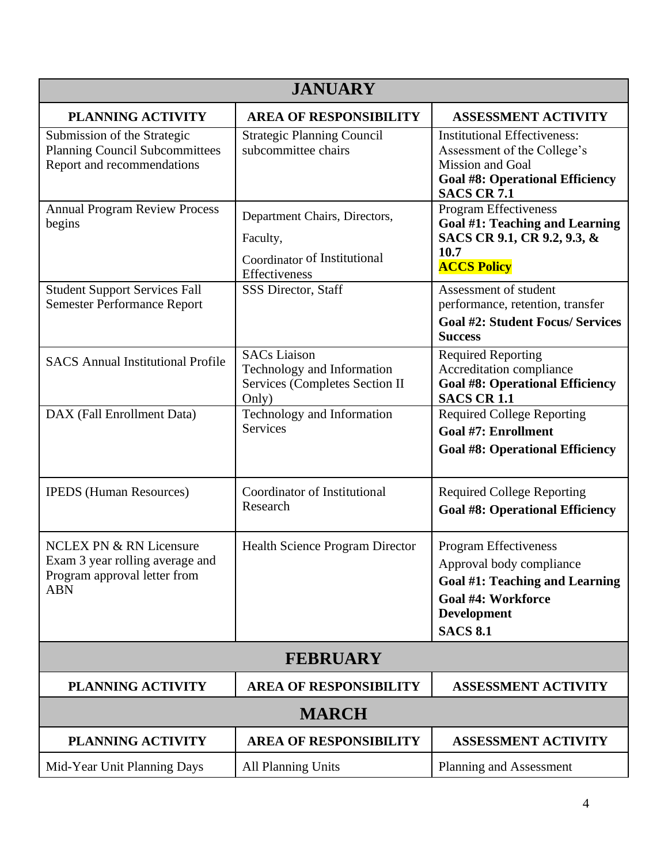| <b>JANUARY</b>                                                                                                      |                                                                                              |                                                                                                                                                                  |
|---------------------------------------------------------------------------------------------------------------------|----------------------------------------------------------------------------------------------|------------------------------------------------------------------------------------------------------------------------------------------------------------------|
| <b>PLANNING ACTIVITY</b>                                                                                            | <b>AREA OF RESPONSIBILITY</b>                                                                | <b>ASSESSMENT ACTIVITY</b>                                                                                                                                       |
| Submission of the Strategic<br><b>Planning Council Subcommittees</b><br>Report and recommendations                  | <b>Strategic Planning Council</b><br>subcommittee chairs                                     | <b>Institutional Effectiveness:</b><br>Assessment of the College's<br>Mission and Goal<br><b>Goal #8: Operational Efficiency</b><br><b>SACS CR 7.1</b>           |
| <b>Annual Program Review Process</b><br>begins                                                                      | Department Chairs, Directors,<br>Faculty,<br>Coordinator of Institutional<br>Effectiveness   | <b>Program Effectiveness</b><br>Goal #1: Teaching and Learning<br>SACS CR 9.1, CR 9.2, 9.3, &<br>10.7<br><b>ACCS Policy</b>                                      |
| <b>Student Support Services Fall</b><br><b>Semester Performance Report</b>                                          | <b>SSS Director, Staff</b>                                                                   | Assessment of student<br>performance, retention, transfer<br><b>Goal #2: Student Focus/ Services</b><br><b>Success</b>                                           |
| <b>SACS Annual Institutional Profile</b>                                                                            | <b>SACs</b> Liaison<br>Technology and Information<br>Services (Completes Section II<br>Only) | <b>Required Reporting</b><br>Accreditation compliance<br><b>Goal #8: Operational Efficiency</b><br><b>SACS CR 1.1</b>                                            |
| DAX (Fall Enrollment Data)                                                                                          | Technology and Information<br>Services                                                       | <b>Required College Reporting</b><br><b>Goal #7: Enrollment</b><br><b>Goal #8: Operational Efficiency</b>                                                        |
| <b>IPEDS</b> (Human Resources)                                                                                      | Coordinator of Institutional<br>Research                                                     | <b>Required College Reporting</b><br><b>Goal #8: Operational Efficiency</b>                                                                                      |
| <b>NCLEX PN &amp; RN Licensure</b><br>Exam 3 year rolling average and<br>Program approval letter from<br><b>ABN</b> | Health Science Program Director                                                              | <b>Program Effectiveness</b><br>Approval body compliance<br>Goal #1: Teaching and Learning<br><b>Goal #4: Workforce</b><br><b>Development</b><br><b>SACS 8.1</b> |
| <b>FEBRUARY</b>                                                                                                     |                                                                                              |                                                                                                                                                                  |
| PLANNING ACTIVITY                                                                                                   | <b>AREA OF RESPONSIBILITY</b>                                                                | <b>ASSESSMENT ACTIVITY</b>                                                                                                                                       |
| <b>MARCH</b>                                                                                                        |                                                                                              |                                                                                                                                                                  |
| <b>PLANNING ACTIVITY</b>                                                                                            | <b>AREA OF RESPONSIBILITY</b>                                                                | <b>ASSESSMENT ACTIVITY</b>                                                                                                                                       |
| Mid-Year Unit Planning Days                                                                                         | <b>All Planning Units</b>                                                                    | Planning and Assessment                                                                                                                                          |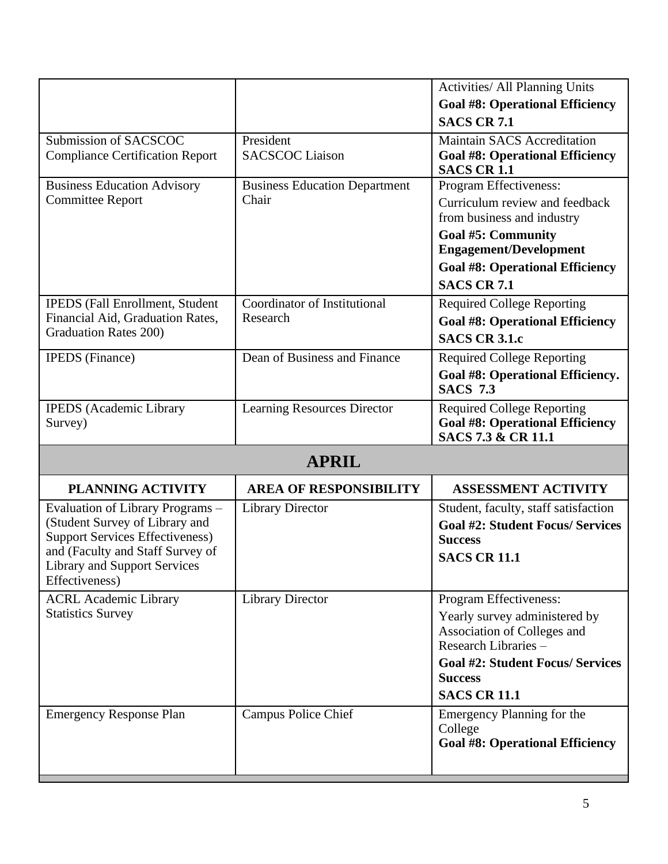|                                                                  |                                          | Activities/ All Planning Units                               |
|------------------------------------------------------------------|------------------------------------------|--------------------------------------------------------------|
|                                                                  |                                          | <b>Goal #8: Operational Efficiency</b>                       |
|                                                                  |                                          | <b>SACS CR 7.1</b>                                           |
| Submission of SACSCOC                                            | President                                | <b>Maintain SACS Accreditation</b>                           |
| <b>Compliance Certification Report</b>                           | <b>SACSCOC Liaison</b>                   | <b>Goal #8: Operational Efficiency</b>                       |
|                                                                  |                                          | <b>SACS CR 1.1</b>                                           |
| <b>Business Education Advisory</b>                               | <b>Business Education Department</b>     | Program Effectiveness:                                       |
| <b>Committee Report</b>                                          | Chair                                    | Curriculum review and feedback<br>from business and industry |
|                                                                  |                                          | <b>Goal #5: Community</b><br><b>Engagement/Development</b>   |
|                                                                  |                                          | <b>Goal #8: Operational Efficiency</b>                       |
|                                                                  |                                          | <b>SACS CR 7.1</b>                                           |
|                                                                  |                                          |                                                              |
| <b>IPEDS</b> (Fall Enrollment, Student                           | Coordinator of Institutional<br>Research | <b>Required College Reporting</b>                            |
| Financial Aid, Graduation Rates,<br><b>Graduation Rates 200)</b> |                                          | <b>Goal #8: Operational Efficiency</b>                       |
|                                                                  |                                          | <b>SACS CR 3.1.c</b>                                         |
| <b>IPEDS</b> (Finance)                                           | Dean of Business and Finance             | <b>Required College Reporting</b>                            |
|                                                                  |                                          | Goal #8: Operational Efficiency.<br><b>SACS 7.3</b>          |
| <b>IPEDS</b> (Academic Library                                   | Learning Resources Director              | <b>Required College Reporting</b>                            |
| Survey)                                                          |                                          | <b>Goal #8: Operational Efficiency</b>                       |
|                                                                  |                                          | SACS 7.3 & CR 11.1                                           |
|                                                                  | <b>APRIL</b>                             |                                                              |
| <b>PLANNING ACTIVITY</b>                                         | <b>AREA OF RESPONSIBILITY</b>            | <b>ASSESSMENT ACTIVITY</b>                                   |
| Evaluation of Library Programs -                                 | <b>Library Director</b>                  | Student, faculty, staff satisfaction                         |
| (Student Survey of Library and                                   |                                          | <b>Goal #2: Student Focus/ Services</b>                      |
| <b>Support Services Effectiveness)</b>                           |                                          | <b>Success</b>                                               |
| and (Faculty and Staff Survey of                                 |                                          | <b>SACS CR 11.1</b>                                          |
| <b>Library and Support Services</b><br>Effectiveness)            |                                          |                                                              |
| <b>ACRL Academic Library</b>                                     | <b>Library Director</b>                  | Program Effectiveness:                                       |
| <b>Statistics Survey</b>                                         |                                          |                                                              |
|                                                                  |                                          | Yearly survey administered by<br>Association of Colleges and |
|                                                                  |                                          | Research Libraries -                                         |
|                                                                  |                                          | <b>Goal #2: Student Focus/ Services</b>                      |
|                                                                  |                                          | <b>Success</b>                                               |
|                                                                  |                                          | <b>SACS CR 11.1</b>                                          |
|                                                                  |                                          |                                                              |
| <b>Emergency Response Plan</b>                                   | <b>Campus Police Chief</b>               | Emergency Planning for the                                   |
|                                                                  |                                          | College<br><b>Goal #8: Operational Efficiency</b>            |
|                                                                  |                                          |                                                              |
|                                                                  |                                          |                                                              |
|                                                                  |                                          |                                                              |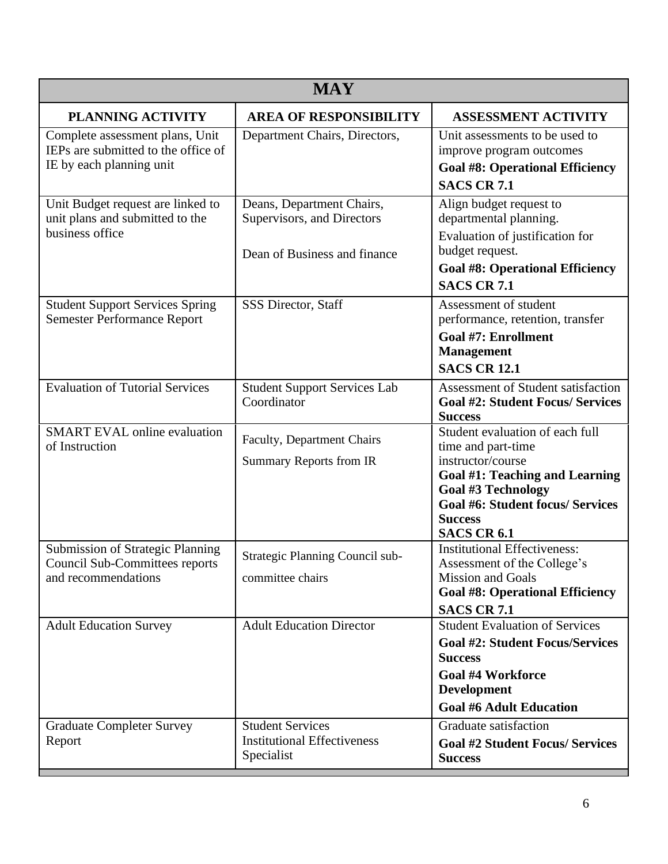| <b>MAY</b>                                                                                              |                                                                                         |                                                                                                                                                                                       |
|---------------------------------------------------------------------------------------------------------|-----------------------------------------------------------------------------------------|---------------------------------------------------------------------------------------------------------------------------------------------------------------------------------------|
| <b>PLANNING ACTIVITY</b>                                                                                | <b>AREA OF RESPONSIBILITY</b>                                                           | <b>ASSESSMENT ACTIVITY</b>                                                                                                                                                            |
| Complete assessment plans, Unit<br>IEPs are submitted to the office of<br>IE by each planning unit      | Department Chairs, Directors,                                                           | Unit assessments to be used to<br>improve program outcomes<br><b>Goal #8: Operational Efficiency</b><br><b>SACS CR 7.1</b>                                                            |
| Unit Budget request are linked to<br>unit plans and submitted to the<br>business office                 | Deans, Department Chairs,<br>Supervisors, and Directors<br>Dean of Business and finance | Align budget request to<br>departmental planning.<br>Evaluation of justification for<br>budget request.<br><b>Goal #8: Operational Efficiency</b><br><b>SACS CR 7.1</b>               |
| <b>Student Support Services Spring</b><br><b>Semester Performance Report</b>                            | SSS Director, Staff                                                                     | Assessment of student<br>performance, retention, transfer<br><b>Goal #7: Enrollment</b><br><b>Management</b><br><b>SACS CR 12.1</b>                                                   |
| <b>Evaluation of Tutorial Services</b><br><b>SMART EVAL online evaluation</b><br>of Instruction         | <b>Student Support Services Lab</b><br>Coordinator<br>Faculty, Department Chairs        | Assessment of Student satisfaction<br><b>Goal #2: Student Focus/ Services</b><br><b>Success</b><br>Student evaluation of each full<br>time and part-time                              |
|                                                                                                         | <b>Summary Reports from IR</b>                                                          | instructor/course<br>Goal #1: Teaching and Learning<br><b>Goal #3 Technology</b><br><b>Goal #6: Student focus/ Services</b><br><b>Success</b><br><b>SACS CR 6.1</b>                   |
| <b>Submission of Strategic Planning</b><br><b>Council Sub-Committees reports</b><br>and recommendations | Strategic Planning Council sub-<br>committee chairs                                     | <b>Institutional Effectiveness:</b><br>Assessment of the College's<br><b>Mission and Goals</b><br><b>Goal #8: Operational Efficiency</b><br><b>SACS CR 7.1</b>                        |
| <b>Adult Education Survey</b>                                                                           | <b>Adult Education Director</b>                                                         | <b>Student Evaluation of Services</b><br><b>Goal #2: Student Focus/Services</b><br><b>Success</b><br><b>Goal #4 Workforce</b><br><b>Development</b><br><b>Goal #6 Adult Education</b> |
| <b>Graduate Completer Survey</b><br>Report                                                              | <b>Student Services</b><br><b>Institutional Effectiveness</b><br>Specialist             | Graduate satisfaction<br><b>Goal #2 Student Focus/ Services</b><br><b>Success</b>                                                                                                     |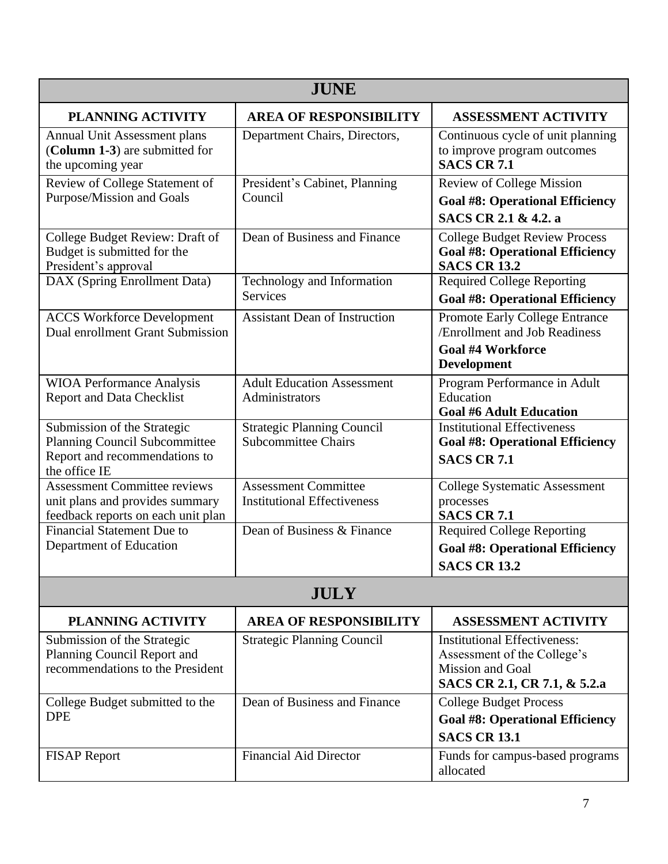| <b>JUNE</b>                                                                                                    |                                                                   |                                                                                                                               |
|----------------------------------------------------------------------------------------------------------------|-------------------------------------------------------------------|-------------------------------------------------------------------------------------------------------------------------------|
| <b>PLANNING ACTIVITY</b>                                                                                       | <b>AREA OF RESPONSIBILITY</b>                                     | <b>ASSESSMENT ACTIVITY</b>                                                                                                    |
| Annual Unit Assessment plans<br>(Column 1-3) are submitted for<br>the upcoming year                            | Department Chairs, Directors,                                     | Continuous cycle of unit planning<br>to improve program outcomes<br><b>SACS CR 7.1</b>                                        |
| Review of College Statement of<br>Purpose/Mission and Goals                                                    | President's Cabinet, Planning<br>Council                          | <b>Review of College Mission</b><br><b>Goal #8: Operational Efficiency</b><br>SACS CR 2.1 & 4.2. a                            |
| College Budget Review: Draft of<br>Budget is submitted for the<br>President's approval                         | Dean of Business and Finance                                      | <b>College Budget Review Process</b><br><b>Goal #8: Operational Efficiency</b><br><b>SACS CR 13.2</b>                         |
| DAX (Spring Enrollment Data)                                                                                   | Technology and Information<br><b>Services</b>                     | <b>Required College Reporting</b><br><b>Goal #8: Operational Efficiency</b>                                                   |
| <b>ACCS Workforce Development</b><br>Dual enrollment Grant Submission                                          | <b>Assistant Dean of Instruction</b>                              | Promote Early College Entrance<br>/Enrollment and Job Readiness<br><b>Goal #4 Workforce</b><br>Development                    |
| <b>WIOA Performance Analysis</b><br><b>Report and Data Checklist</b>                                           | <b>Adult Education Assessment</b><br>Administrators               | Program Performance in Adult<br>Education<br><b>Goal #6 Adult Education</b>                                                   |
| Submission of the Strategic<br>Planning Council Subcommittee<br>Report and recommendations to<br>the office IE | <b>Strategic Planning Council</b><br><b>Subcommittee Chairs</b>   | <b>Institutional Effectiveness</b><br><b>Goal #8: Operational Efficiency</b><br><b>SACS CR 7.1</b>                            |
| Assessment Committee reviews<br>unit plans and provides summary<br>feedback reports on each unit plan          | <b>Assessment Committee</b><br><b>Institutional Effectiveness</b> | <b>College Systematic Assessment</b><br>processes<br><b>SACS CR 7.1</b>                                                       |
| <b>Financial Statement Due to</b><br>Department of Education                                                   | Dean of Business & Finance                                        | <b>Required College Reporting</b><br><b>Goal #8: Operational Efficiency</b><br><b>SACS CR 13.2</b>                            |
| <b>JULY</b>                                                                                                    |                                                                   |                                                                                                                               |
| PLANNING ACTIVITY                                                                                              | <b>AREA OF RESPONSIBILITY</b>                                     | <b>ASSESSMENT ACTIVITY</b>                                                                                                    |
| Submission of the Strategic<br>Planning Council Report and<br>recommendations to the President                 | <b>Strategic Planning Council</b>                                 | <b>Institutional Effectiveness:</b><br>Assessment of the College's<br><b>Mission and Goal</b><br>SACS CR 2.1, CR 7.1, & 5.2.a |
| College Budget submitted to the<br><b>DPE</b>                                                                  | Dean of Business and Finance                                      | <b>College Budget Process</b><br><b>Goal #8: Operational Efficiency</b><br><b>SACS CR 13.1</b>                                |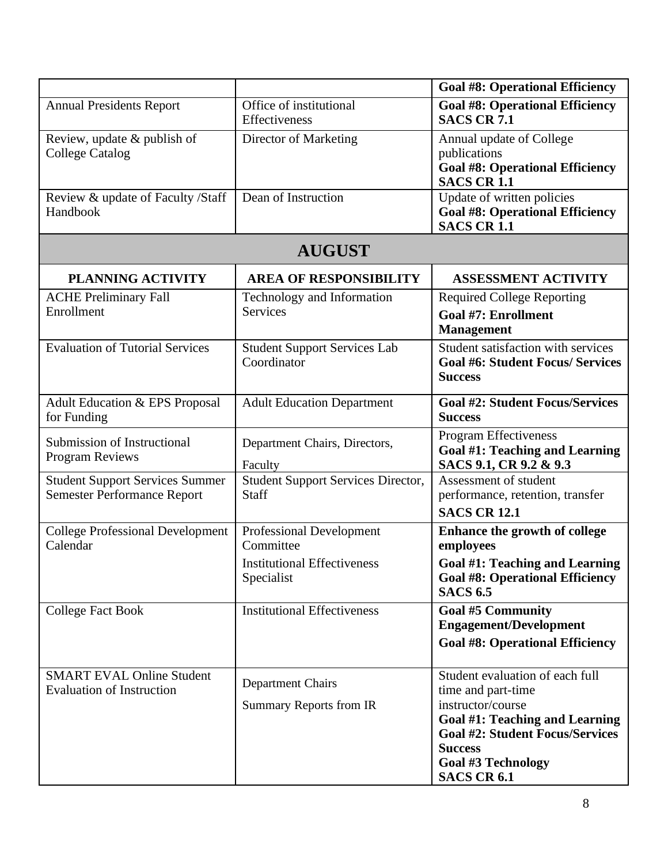|                                                                              |                                                            | <b>Goal #8: Operational Efficiency</b>                                                                                                                                                                                      |
|------------------------------------------------------------------------------|------------------------------------------------------------|-----------------------------------------------------------------------------------------------------------------------------------------------------------------------------------------------------------------------------|
| <b>Annual Presidents Report</b>                                              | Office of institutional<br>Effectiveness                   | <b>Goal #8: Operational Efficiency</b><br><b>SACS CR 7.1</b>                                                                                                                                                                |
| Review, update & publish of<br><b>College Catalog</b>                        | Director of Marketing                                      | Annual update of College<br>publications<br><b>Goal #8: Operational Efficiency</b><br><b>SACS CR 1.1</b>                                                                                                                    |
| Review & update of Faculty /Staff<br>Handbook                                | Dean of Instruction                                        | Update of written policies<br><b>Goal #8: Operational Efficiency</b><br><b>SACS CR 1.1</b>                                                                                                                                  |
|                                                                              | <b>AUGUST</b>                                              |                                                                                                                                                                                                                             |
| <b>PLANNING ACTIVITY</b>                                                     | <b>AREA OF RESPONSIBILITY</b>                              | <b>ASSESSMENT ACTIVITY</b>                                                                                                                                                                                                  |
| <b>ACHE Preliminary Fall</b><br>Enrollment                                   | Technology and Information<br><b>Services</b>              | <b>Required College Reporting</b><br><b>Goal #7: Enrollment</b><br><b>Management</b>                                                                                                                                        |
| <b>Evaluation of Tutorial Services</b>                                       | <b>Student Support Services Lab</b><br>Coordinator         | Student satisfaction with services<br><b>Goal #6: Student Focus/ Services</b><br><b>Success</b>                                                                                                                             |
| Adult Education & EPS Proposal<br>for Funding                                | <b>Adult Education Department</b>                          | <b>Goal #2: Student Focus/Services</b><br><b>Success</b>                                                                                                                                                                    |
| Submission of Instructional<br><b>Program Reviews</b>                        | Department Chairs, Directors,<br>Faculty                   | Program Effectiveness<br><b>Goal #1: Teaching and Learning</b><br>SACS 9.1, CR 9.2 & 9.3                                                                                                                                    |
| <b>Student Support Services Summer</b><br><b>Semester Performance Report</b> | <b>Student Support Services Director,</b><br>Staff         | Assessment of student<br>performance, retention, transfer<br><b>SACS CR 12.1</b>                                                                                                                                            |
| <b>College Professional Development</b><br>Calendar                          | <b>Professional Development</b><br>Committee               | Enhance the growth of college<br>employees                                                                                                                                                                                  |
|                                                                              | <b>Institutional Effectiveness</b><br>Specialist           | Goal #1: Teaching and Learning<br><b>Goal #8: Operational Efficiency</b><br><b>SACS 6.5</b>                                                                                                                                 |
| <b>College Fact Book</b>                                                     | <b>Institutional Effectiveness</b>                         | <b>Goal #5 Community</b><br><b>Engagement/Development</b><br><b>Goal #8: Operational Efficiency</b>                                                                                                                         |
| <b>SMART EVAL Online Student</b><br><b>Evaluation of Instruction</b>         | <b>Department Chairs</b><br><b>Summary Reports from IR</b> | Student evaluation of each full<br>time and part-time<br>instructor/course<br>Goal #1: Teaching and Learning<br><b>Goal #2: Student Focus/Services</b><br><b>Success</b><br><b>Goal #3 Technology</b><br><b>SACS CR 6.1</b> |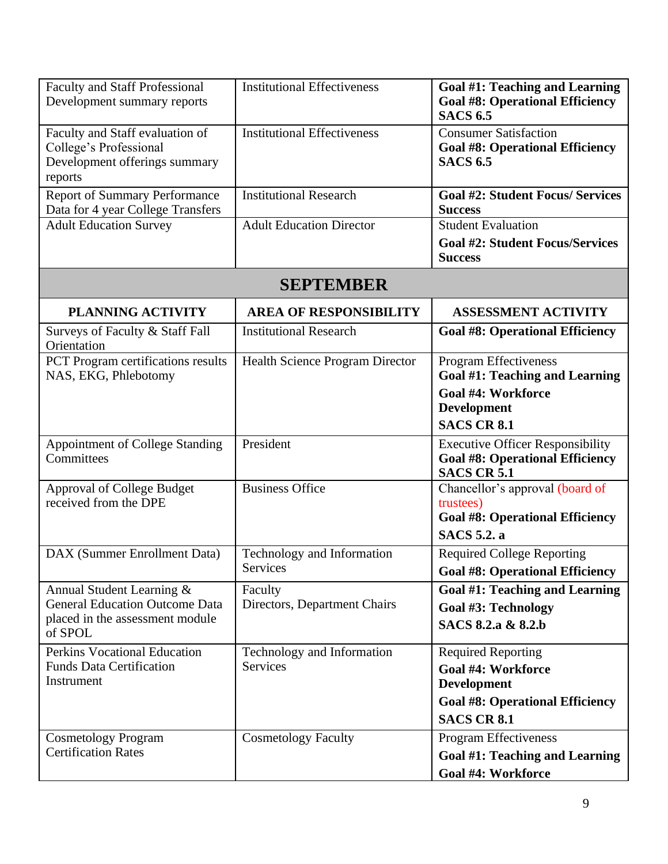| <b>Faculty and Staff Professional</b><br>Development summary reports                                             | <b>Institutional Effectiveness</b>            | Goal #1: Teaching and Learning<br><b>Goal #8: Operational Efficiency</b><br><b>SACS 6.5</b>                     |
|------------------------------------------------------------------------------------------------------------------|-----------------------------------------------|-----------------------------------------------------------------------------------------------------------------|
| Faculty and Staff evaluation of<br>College's Professional<br>Development offerings summary<br>reports            | <b>Institutional Effectiveness</b>            | <b>Consumer Satisfaction</b><br><b>Goal #8: Operational Efficiency</b><br><b>SACS 6.5</b>                       |
| <b>Report of Summary Performance</b><br>Data for 4 year College Transfers                                        | <b>Institutional Research</b>                 | <b>Goal #2: Student Focus/ Services</b><br><b>Success</b>                                                       |
| <b>Adult Education Survey</b>                                                                                    | <b>Adult Education Director</b>               | <b>Student Evaluation</b><br><b>Goal #2: Student Focus/Services</b><br><b>Success</b>                           |
|                                                                                                                  | <b>SEPTEMBER</b>                              |                                                                                                                 |
| <b>PLANNING ACTIVITY</b>                                                                                         | <b>AREA OF RESPONSIBILITY</b>                 | <b>ASSESSMENT ACTIVITY</b>                                                                                      |
| Surveys of Faculty & Staff Fall<br>Orientation                                                                   | <b>Institutional Research</b>                 | <b>Goal #8: Operational Efficiency</b>                                                                          |
| PCT Program certifications results<br>NAS, EKG, Phlebotomy                                                       | <b>Health Science Program Director</b>        | <b>Program Effectiveness</b><br>Goal #1: Teaching and Learning<br>Goal #4: Workforce                            |
|                                                                                                                  |                                               | <b>Development</b><br><b>SACS CR 8.1</b>                                                                        |
| <b>Appointment of College Standing</b><br>Committees                                                             | President                                     | <b>Executive Officer Responsibility</b><br><b>Goal #8: Operational Efficiency</b><br><b>SACS CR 5.1</b>         |
| <b>Approval of College Budget</b><br>received from the DPE                                                       | <b>Business Office</b>                        | Chancellor's approval (board of<br>trustees)<br><b>Goal #8: Operational Efficiency</b><br><b>SACS</b> 5.2. a    |
| DAX (Summer Enrollment Data)                                                                                     | Technology and Information<br>Services        | <b>Required College Reporting</b><br><b>Goal #8: Operational Efficiency</b>                                     |
| Annual Student Learning &<br><b>General Education Outcome Data</b><br>placed in the assessment module<br>of SPOL | Faculty<br>Directors, Department Chairs       | Goal #1: Teaching and Learning<br><b>Goal #3: Technology</b><br>SACS 8.2.a & 8.2.b                              |
| <b>Perkins Vocational Education</b><br><b>Funds Data Certification</b><br>Instrument                             | Technology and Information<br><b>Services</b> | <b>Required Reporting</b><br>Goal #4: Workforce<br><b>Development</b><br><b>Goal #8: Operational Efficiency</b> |
| <b>Cosmetology Program</b><br><b>Certification Rates</b>                                                         | <b>Cosmetology Faculty</b>                    | <b>SACS CR 8.1</b><br>Program Effectiveness<br>Goal #1: Teaching and Learning<br>Goal #4: Workforce             |